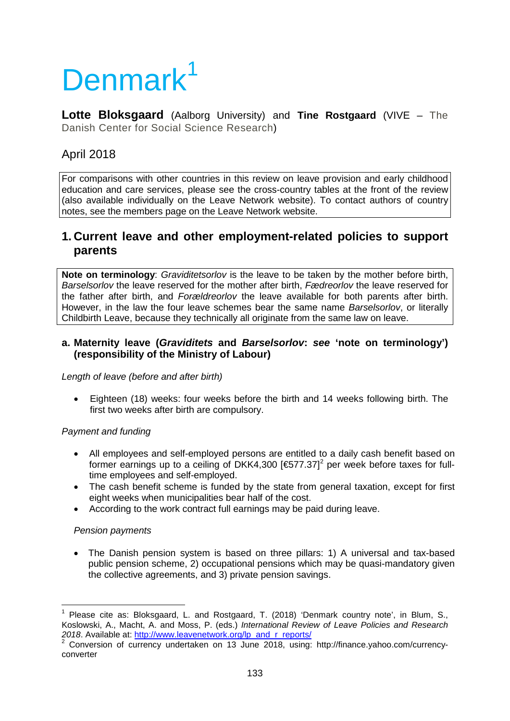# Denmark<sup>[1](#page-0-0)</sup>

**Lotte Bloksgaard** (Aalborg University) and **Tine Rostgaard** (VIVE – The Danish Center for Social Science Research)

# April 2018

For comparisons with other countries in this review on leave provision and early childhood education and care services, please see the cross-country tables at the front of the review (also available individually on the Leave Network website). To contact authors of country notes, see the members page on the Leave Network website.

## **1. Current leave and other employment-related policies to support parents**

**Note on terminology**: *Graviditetsorlov* is the leave to be taken by the mother before birth, *Barselsorlov* the leave reserved for the mother after birth, *Fædreorlov* the leave reserved for the father after birth, and *Forældreorlov* the leave available for both parents after birth. However, in the law the four leave schemes bear the same name *Barselsorlov*, or literally Childbirth Leave, because they technically all originate from the same law on leave.

#### **a. Maternity leave (***Graviditets* **and** *Barselsorlov***:** *see* **'note on terminology') (responsibility of the Ministry of Labour)**

*Length of leave (before and after birth)*

• Eighteen (18) weeks: four weeks before the birth and 14 weeks following birth. The first two weeks after birth are compulsory.

## *Payment and funding*

- All employees and self-employed persons are entitled to a daily cash benefit based on former earnings up to a ceiling of DKK4,300 [ $\bigoplus$ 77.37]<sup>[2](#page-0-1)</sup> per week before taxes for fulltime employees and self-employed.
- The cash benefit scheme is funded by the state from general taxation, except for first eight weeks when municipalities bear half of the cost.
- According to the work contract full earnings may be paid during leave.

#### *Pension payments*

• The Danish pension system is based on three pillars: 1) A universal and tax-based public pension scheme, 2) occupational pensions which may be quasi-mandatory given the collective agreements, and 3) private pension savings.

<span id="page-0-0"></span>Please cite as: Bloksgaard, L. and Rostgaard, T. (2018) 'Denmark country note', in Blum, S., Koslowski, A., Macht, A. and Moss, P. (eds.) *International Review of Leave Policies and Research* 

<span id="page-0-1"></span><sup>2018.</sup> Available at: **http://www.leavenetwork.org/panders/ 2 Conversion of currency-** 2 Conversion of currency undertaken on 13 June 2018, using: http://finance.yahoo.com/currencyconverter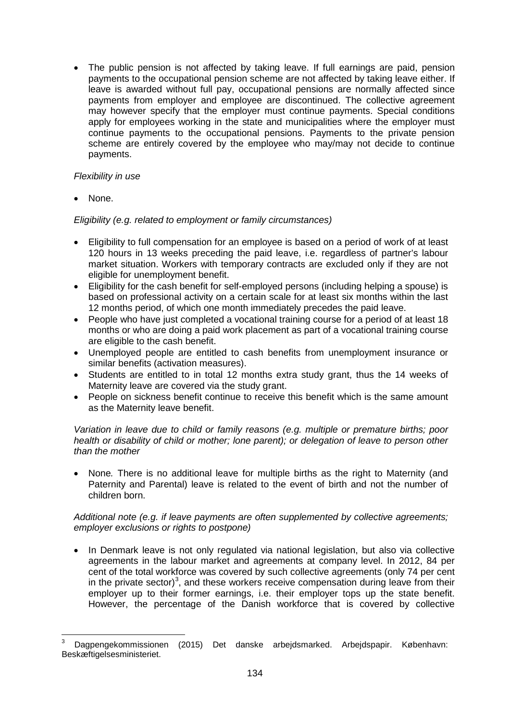The public pension is not affected by taking leave. If full earnings are paid, pension payments to the occupational pension scheme are not affected by taking leave either. If leave is awarded without full pay, occupational pensions are normally affected since payments from employer and employee are discontinued. The collective agreement may however specify that the employer must continue payments. Special conditions apply for employees working in the state and municipalities where the employer must continue payments to the occupational pensions. Payments to the private pension scheme are entirely covered by the employee who may/may not decide to continue payments.

#### *Flexibility in use*

• None.

#### *Eligibility (e.g. related to employment or family circumstances)*

- Eligibility to full compensation for an employee is based on a period of work of at least 120 hours in 13 weeks preceding the paid leave, i.e. regardless of partner's labour market situation. Workers with temporary contracts are excluded only if they are not eligible for unemployment benefit.
- Eligibility for the cash benefit for self-employed persons (including helping a spouse) is based on professional activity on a certain scale for at least six months within the last 12 months period, of which one month immediately precedes the paid leave.
- People who have just completed a vocational training course for a period of at least 18 months or who are doing a paid work placement as part of a vocational training course are eligible to the cash benefit.
- Unemployed people are entitled to cash benefits from unemployment insurance or similar benefits (activation measures).
- Students are entitled to in total 12 months extra study grant, thus the 14 weeks of Maternity leave are covered via the study grant.
- People on sickness benefit continue to receive this benefit which is the same amount as the Maternity leave benefit.

*Variation in leave due to child or family reasons (e.g. multiple or premature births; poor health or disability of child or mother; lone parent); or delegation of leave to person other than the mother*

• None*.* There is no additional leave for multiple births as the right to Maternity (and Paternity and Parental) leave is related to the event of birth and not the number of children born.

#### *Additional note (e.g. if leave payments are often supplemented by collective agreements; employer exclusions or rights to postpone)*

• In Denmark leave is not only regulated via national legislation, but also via collective agreements in the labour market and agreements at company level. In 2012, 84 per cent of the total workforce was covered by such collective agreements (only 74 per cent in the private sector)<sup>[3](#page-1-0)</sup>, and these workers receive compensation during leave from their employer up to their former earnings, i.e. their employer tops up the state benefit. However, the percentage of the Danish workforce that is covered by collective

<span id="page-1-0"></span><sup>3</sup> Dagpengekommissionen (2015) Det danske arbejdsmarked. Arbejdspapir. København: Beskæftigelsesministeriet.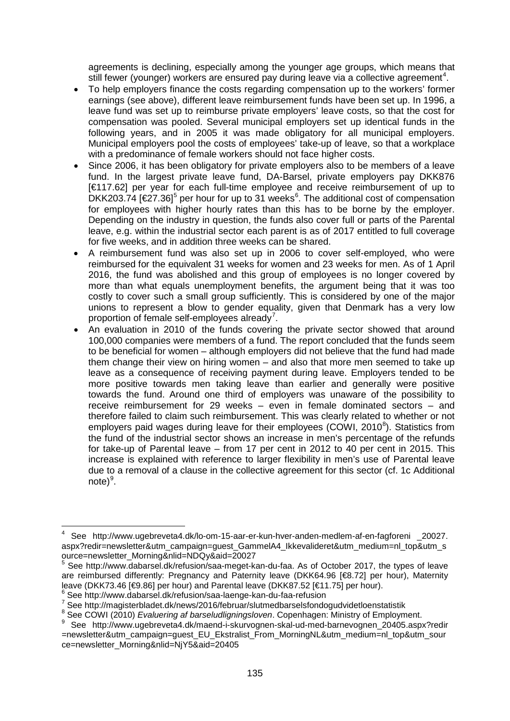agreements is declining, especially among the younger age groups, which means that still fewer (younger) workers are ensured pay during leave via a collective agreement<sup>[4](#page-2-0)</sup>.

- To help employers finance the costs regarding compensation up to the workers' former earnings (see above), different leave reimbursement funds have been set up. In 1996, a leave fund was set up to reimburse private employers' leave costs, so that the cost for compensation was pooled. Several municipal employers set up identical funds in the following years, and in 2005 it was made obligatory for all municipal employers. Municipal employers pool the costs of employees' take-up of leave, so that a workplace with a predominance of female workers should not face higher costs.
- Since 2006, it has been obligatory for private employers also to be members of a leave fund. In the largest private leave fund, DA-Barsel, private employers pay DKK876 [€117.62] per year for each full-time employee and receive reimbursement of up to DKK203.74  $[€27.36]$  $[€27.36]$  $[€27.36]$ <sup>[5](#page-2-1)</sup> per hour for up to 31 weeks<sup>6</sup>. The additional cost of compensation for employees with higher hourly rates than this has to be borne by the employer. Depending on the industry in question, the funds also cover full or parts of the Parental leave, e.g. within the industrial sector each parent is as of 2017 entitled to full coverage for five weeks, and in addition three weeks can be shared.
- A reimbursement fund was also set up in 2006 to cover self-employed, who were reimbursed for the equivalent 31 weeks for women and 23 weeks for men. As of 1 April 2016, the fund was abolished and this group of employees is no longer covered by more than what equals unemployment benefits, the argument being that it was too costly to cover such a small group sufficiently. This is considered by one of the major unions to represent a blow to gender equality, given that Denmark has a very low proportion of female self-employees already<sup>[7](#page-2-3)</sup>.
- An evaluation in 2010 of the funds covering the private sector showed that around 100,000 companies were members of a fund. The report concluded that the funds seem to be beneficial for women – although employers did not believe that the fund had made them change their view on hiring women – and also that more men seemed to take up leave as a consequence of receiving payment during leave. Employers tended to be more positive towards men taking leave than earlier and generally were positive towards the fund. Around one third of employers was unaware of the possibility to receive reimbursement for 29 weeks – even in female dominated sectors – and therefore failed to claim such reimbursement. This was clearly related to whether or not employers paid wages during leave for their employees (COWI, 2010 $^{\circ}$ ). Statistics from the fund of the industrial sector shows an increase in men's percentage of the refunds for take-up of Parental leave – from 17 per cent in 2012 to 40 per cent in 2015. This increase is explained with reference to larger flexibility in men's use of Parental leave due to a removal of a clause in the collective agreement for this sector (cf. 1c Additional note)<sup>[9](#page-2-5)</sup>.

<span id="page-2-0"></span><sup>4</sup> See http://www.ugebreveta4.dk/lo-om-15-aar-er-kun-hver-anden-medlem-af-en-fagforeni \_20027. aspx?redir=newsletter&utm\_campaign=guest\_GammelA4\_Ikkevalideret&utm\_medium=nl\_top&utm\_s ource=newsletter\_Morning&nlid=NDQy&aid=20027

<span id="page-2-1"></span><sup>5</sup> See http://www.dabarsel.dk/refusion/saa-meget-kan-du-faa. As of October 2017, the types of leave are reimbursed differently: Pregnancy and Paternity leave (DKK64.96 [€8.72] per hour), Maternity leave (DKK73.46 [€9.86] per hour) and Parental leave (DKK87.52 [€11.75] per hour).

<span id="page-2-3"></span><span id="page-2-2"></span> $\frac{6}{7}$  See http://www.dabarsel.dk/refusion/saa-laenge-kan-du-faa-refusion<br>  $\frac{7}{7}$  See http://magisterbladet.dk/news/2016/februar/slutmedbarselsfondogudvidetloenstatistik<br>  $\frac{8}{7}$  See COWI (2010) *Evaluering af bar* 

<span id="page-2-4"></span>

<span id="page-2-5"></span><sup>8</sup> See http://www.ugebreveta4.dk/maend-i-skurvognen-skal-ud-med-barnevognen\_20405.aspx?redir =newsletter&utm\_campaign=guest\_EU\_Ekstralist\_From\_MorningNL&utm\_medium=nl\_top&utm\_sour ce=newsletter\_Morning&nlid=NjY5&aid=20405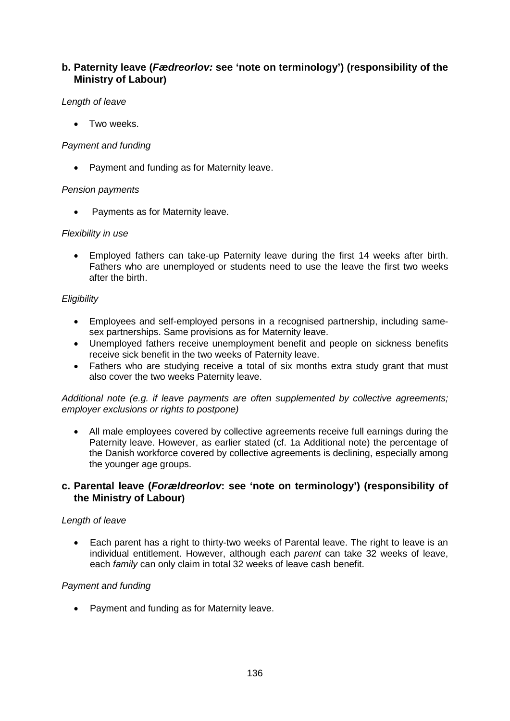## **b. Paternity leave (***Fædreorlov:* **see 'note on terminology') (responsibility of the Ministry of Labour)**

#### *Length of leave*

Two weeks.

#### *Payment and funding*

• Payment and funding as for Maternity leave.

#### *Pension payments*

• Payments as for Maternity leave.

#### *Flexibility in use*

• Employed fathers can take-up Paternity leave during the first 14 weeks after birth. Fathers who are unemployed or students need to use the leave the first two weeks after the birth.

#### *Eligibility*

- Employees and self-employed persons in a recognised partnership, including samesex partnerships. Same provisions as for Maternity leave.
- Unemployed fathers receive unemployment benefit and people on sickness benefits receive sick benefit in the two weeks of Paternity leave.
- Fathers who are studying receive a total of six months extra study grant that must also cover the two weeks Paternity leave.

#### *Additional note (e.g. if leave payments are often supplemented by collective agreements; employer exclusions or rights to postpone)*

All male employees covered by collective agreements receive full earnings during the Paternity leave. However, as earlier stated (cf. 1a Additional note) the percentage of the Danish workforce covered by collective agreements is declining, especially among the younger age groups.

#### **c. Parental leave (***Forældreorlov***: see 'note on terminology') (responsibility of the Ministry of Labour)**

#### *Length of leave*

• Each parent has a right to thirty-two weeks of Parental leave. The right to leave is an individual entitlement. However, although each *parent* can take 32 weeks of leave, each *family* can only claim in total 32 weeks of leave cash benefit.

#### *Payment and funding*

• Payment and funding as for Maternity leave.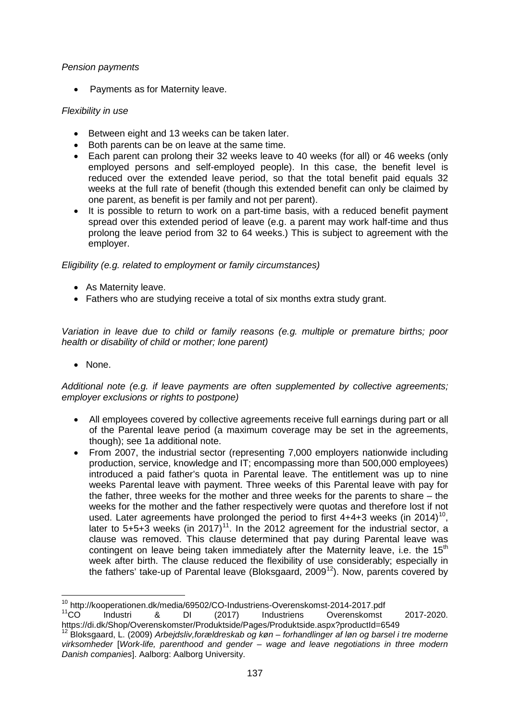#### *Pension payments*

• Payments as for Maternity leave.

#### *Flexibility in use*

- Between eight and 13 weeks can be taken later.
- Both parents can be on leave at the same time.
- Each parent can prolong their 32 weeks leave to 40 weeks (for all) or 46 weeks (only employed persons and self-employed people). In this case, the benefit level is reduced over the extended leave period, so that the total benefit paid equals 32 weeks at the full rate of benefit (though this extended benefit can only be claimed by one parent, as benefit is per family and not per parent).
- It is possible to return to work on a part-time basis, with a reduced benefit payment spread over this extended period of leave (e.g. a parent may work half-time and thus prolong the leave period from 32 to 64 weeks.) This is subject to agreement with the employer.

#### *Eligibility (e.g. related to employment or family circumstances)*

- As Maternity leave.
- Fathers who are studying receive a total of six months extra study grant.

*Variation in leave due to child or family reasons (e.g. multiple or premature births; poor health or disability of child or mother; lone parent)*

• None.

*Additional note (e.g. if leave payments are often supplemented by collective agreements; employer exclusions or rights to postpone)*

- All employees covered by collective agreements receive full earnings during part or all of the Parental leave period (a maximum coverage may be set in the agreements, though); see 1a additional note.
- From 2007, the industrial sector (representing 7,000 employers nationwide including production, service, knowledge and IT; encompassing more than 500,000 employees) introduced a paid father's quota in Parental leave. The entitlement was up to nine weeks Parental leave with payment. Three weeks of this Parental leave with pay for the father, three weeks for the mother and three weeks for the parents to share – the weeks for the mother and the father respectively were quotas and therefore lost if not used. Later agreements have prolonged the period to first  $4+4+3$  weeks (in 2014)<sup>[10](#page-4-0)</sup>, later to  $5+5+3$  weeks (in 2017)<sup>11</sup>. In the 2012 agreement for the industrial sector, a clause was removed. This clause determined that pay during Parental leave was contingent on leave being taken immediately after the Maternity leave, i.e. the  $15<sup>th</sup>$ week after birth. The clause reduced the flexibility of use considerably; especially in the fathers' take-up of Parental leave (Bloksgaard, 2009<sup>[12](#page-4-2)</sup>). Now, parents covered by

<span id="page-4-1"></span><span id="page-4-0"></span><sup>&</sup>lt;sup>10</sup> http://kooperationen.dk/media/69502/CO-Industriens-Overenskomst-2014-2017.pdf<br><sup>11</sup>CO Industri & DI (2017) Industriens Overenskomst 2017-2020. https://di.dk/Shop/Overenskomster/Produktside/Pages/Produktside.aspx?productId=6549

<span id="page-4-2"></span><sup>12</sup> Bloksgaard, L. (2009) *Arbejdsliv,forældreskab og køn – forhandlinger af løn og barsel i tre moderne virksomheder* [*Work-life, parenthood and gender – wage and leave negotiations in three modern Danish companies*]. Aalborg: Aalborg University.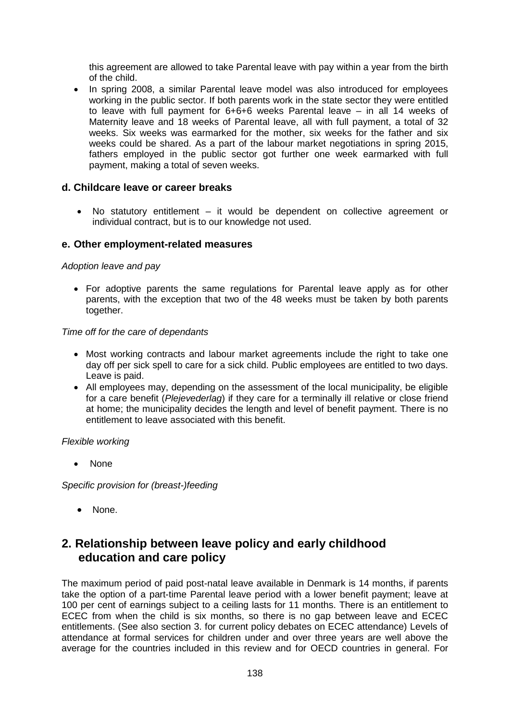this agreement are allowed to take Parental leave with pay within a year from the birth of the child.

• In spring 2008, a similar Parental leave model was also introduced for employees working in the public sector. If both parents work in the state sector they were entitled to leave with full payment for 6+6+6 weeks Parental leave – in all 14 weeks of Maternity leave and 18 weeks of Parental leave, all with full payment, a total of 32 weeks. Six weeks was earmarked for the mother, six weeks for the father and six weeks could be shared. As a part of the labour market negotiations in spring 2015, fathers employed in the public sector got further one week earmarked with full payment, making a total of seven weeks.

#### **d. Childcare leave or career breaks**

• No statutory entitlement – it would be dependent on collective agreement or individual contract, but is to our knowledge not used.

#### **e. Other employment-related measures**

#### *Adoption leave and pay*

• For adoptive parents the same regulations for Parental leave apply as for other parents, with the exception that two of the 48 weeks must be taken by both parents together.

#### *Time off for the care of dependants*

- Most working contracts and labour market agreements include the right to take one day off per sick spell to care for a sick child. Public employees are entitled to two days. Leave is paid.
- All employees may, depending on the assessment of the local municipality, be eligible for a care benefit (*Plejevederlag*) if they care for a terminally ill relative or close friend at home; the municipality decides the length and level of benefit payment. There is no entitlement to leave associated with this benefit.

#### *Flexible working*

• None

*Specific provision for (breast-)feeding*

• None.

# **2. Relationship between leave policy and early childhood education and care policy**

The maximum period of paid post-natal leave available in Denmark is 14 months, if parents take the option of a part-time Parental leave period with a lower benefit payment; leave at 100 per cent of earnings subject to a ceiling lasts for 11 months. There is an entitlement to ECEC from when the child is six months, so there is no gap between leave and ECEC entitlements. (See also section 3. for current policy debates on ECEC attendance) Levels of attendance at formal services for children under and over three years are well above the average for the countries included in this review and for OECD countries in general. For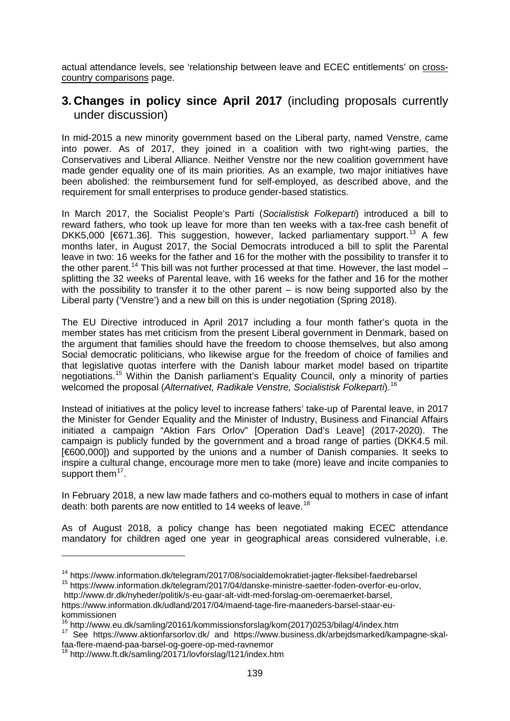actual attendance levels, see 'relationship between leave and ECEC entitlements' on crosscountry comparisons page.

## **3. Changes in policy since April 2017** (including proposals currently under discussion)

In mid-2015 a new minority government based on the Liberal party, named Venstre, came into power. As of 2017, they joined in a coalition with two right-wing parties, the Conservatives and Liberal Alliance. Neither Venstre nor the new coalition government have made gender equality one of its main priorities. As an example, two major initiatives have been abolished: the reimbursement fund for self-employed, as described above, and the requirement for small enterprises to produce gender-based statistics.

In March 2017, the Socialist People's Parti (*Socialistisk Folkeparti*) introduced a bill to reward fathers, who took up leave for more than ten weeks with a tax-free cash benefit of DKK5,000 [ $671.36$ ]. This suggestion, however, lacked parliamentary support.<sup>[13](#page-6-0)</sup> A few months later, in August 2017, the Social Democrats introduced a bill to split the Parental leave in two: 16 weeks for the father and 16 for the mother with the possibility to transfer it to the other parent.<sup>[14](#page-6-1)</sup> This bill was not further processed at that time. However, the last model – splitting the 32 weeks of Parental leave, with 16 weeks for the father and 16 for the mother with the possibility to transfer it to the other parent – is now being supported also by the Liberal party ('Venstre') and a new bill on this is under negotiation (Spring 2018).

The EU Directive introduced in April 2017 including a four month father's quota in the member states has met criticism from the present Liberal government in Denmark, based on the argument that families should have the freedom to choose themselves, but also among Social democratic politicians, who likewise argue for the freedom of choice of families and that legislative quotas interfere with the Danish labour market model based on tripartite negotiations. [15](#page-6-2) Within the Danish parliament's Equality Council, only a minority of parties welcomed the proposal (*Alternativet, Radikale Venstre, Socialistisk Folkeparti*).[16](#page-6-3)

Instead of initiatives at the policy level to increase fathers' take-up of Parental leave, in 2017 the Minister for Gender Equality and the Minister of Industry, Business and Financial Affairs initiated a campaign "Aktion Fars Orlov" [Operation Dad's Leave] (2017-2020). The campaign is publicly funded by the government and a broad range of parties (DKK4.5 mil. [€600,000]) and supported by the unions and a number of Danish companies. It seeks to inspire a cultural change, encourage more men to take (more) leave and incite companies to support them $17$ .

In February 2018, a new law made fathers and co-mothers equal to mothers in case of infant death: both parents are now entitled to 14 weeks of leave.<sup>[18](#page-6-5)</sup>

As of August 2018, a policy change has been negotiated making ECEC attendance mandatory for children aged one year in geographical areas considered vulnerable, i.e.

<span id="page-6-2"></span><sup>15</sup> https://www.information.dk/telegram/2017/04/danske-ministre-saetter-foden-overfor-eu-orlov,

<u>.</u>

<span id="page-6-1"></span><span id="page-6-0"></span><sup>14</sup> https://www.information.dk/telegram/2017/08/socialdemokratiet-jagter-fleksibel-faedrebarsel

http://www.dr.dk/nyheder/politik/s-eu-gaar-alt-vidt-med-forslag-om-oeremaerket-barsel, https://www.information.dk/udland/2017/04/maend-tage-fire-maaneders-barsel-staar-eu-

kommissionen<br><sup>16</sup> http://www.eu.dk/samling/20161/kommissionsforslag/kom(2017)0253/bilag/4/index.htm

<span id="page-6-4"></span><span id="page-6-3"></span>ntip://www.eu.uk/samling/20161/kommissionsforslag/kom/2017/sames.dk/arbejdsmarked/kampagne-skal-<br><sup>17</sup> See https://www.aktionfarsorlov.dk/ and https://www.business.dk/arbejdsmarked/kampagne-skalfaa-flere-maend-paa-barsel-og-goere-op-med-ravnemor

<span id="page-6-5"></span><sup>18</sup> http://www.ft.dk/samling/20171/lovforslag/l121/index.htm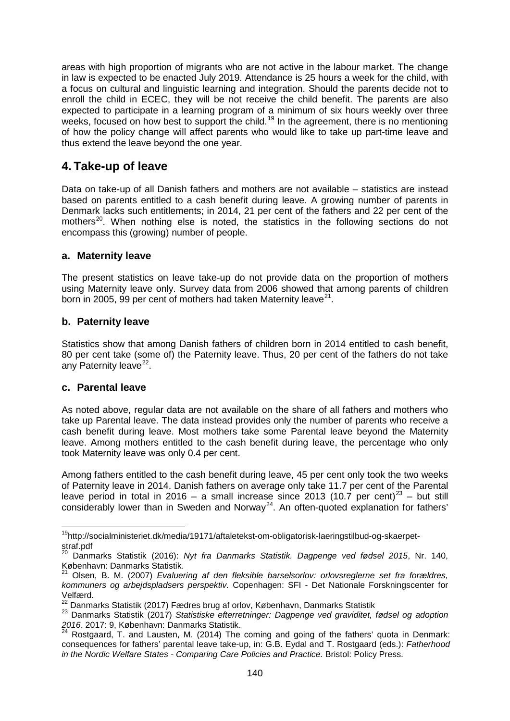areas with high proportion of migrants who are not active in the labour market. The change in law is expected to be enacted July 2019. Attendance is 25 hours a week for the child, with a focus on cultural and linguistic learning and integration. Should the parents decide not to enroll the child in ECEC, they will be not receive the child benefit. The parents are also expected to participate in a learning program of a minimum of six hours weekly over three weeks, focused on how best to support the child.<sup>[19](#page-7-0)</sup> In the agreement, there is no mentioning of how the policy change will affect parents who would like to take up part-time leave and thus extend the leave beyond the one year.

## **4. Take-up of leave**

Data on take-up of all Danish fathers and mothers are not available – statistics are instead based on parents entitled to a cash benefit during leave. A growing number of parents in Denmark lacks such entitlements; in 2014, 21 per cent of the fathers and 22 per cent of the mothers<sup>20</sup>. When nothing else is noted, the statistics in the following sections do not encompass this (growing) number of people.

## **a. Maternity leave**

The present statistics on leave take-up do not provide data on the proportion of mothers using Maternity leave only. Survey data from 2006 showed that among parents of children born in 2005, 99 per cent of mothers had taken Maternity leave<sup>21</sup>.

#### **b. Paternity leave**

Statistics show that among Danish fathers of children born in 2014 entitled to cash benefit, 80 per cent take (some of) the Paternity leave. Thus, 20 per cent of the fathers do not take any Paternity leave $22$ .

#### **c. Parental leave**

As noted above, regular data are not available on the share of all fathers and mothers who take up Parental leave. The data instead provides only the number of parents who receive a cash benefit during leave. Most mothers take some Parental leave beyond the Maternity leave. Among mothers entitled to the cash benefit during leave, the percentage who only took Maternity leave was only 0.4 per cent.

Among fathers entitled to the cash benefit during leave, 45 per cent only took the two weeks of Paternity leave in 2014. Danish fathers on average only take 11.7 per cent of the Parental leave period in total in 2016 – a small increase since 2013 (10.7 per cent)<sup>[23](#page-7-4)</sup> – but still considerably lower than in Sweden and Norway<sup>24</sup>. An often-quoted explanation for fathers'

<span id="page-7-0"></span>19http://socialministeriet.dk/media/19171/aftaletekst-om-obligatorisk-laeringstilbud-og-skaerpetstraf.pdf

<span id="page-7-1"></span><sup>20</sup> Danmarks Statistik (2016): *Nyt fra Danmarks Statistik. Dagpenge ved fødsel 2015*, Nr. 140, København: Danmarks Statistik.

<span id="page-7-2"></span><sup>21</sup> Olsen, B. M. (2007) *Evaluering af den fleksible barselsorlov: orlovsreglerne set fra forældres, kommuners og arbejdspladsers perspektiv.* Copenhagen: SFI - Det Nationale Forskningscenter for

Velfærd.<br><sup>22</sup> Danmarks Statistik (2017) Fædres brug af orlov, København, Danmarks Statistik

<span id="page-7-4"></span><span id="page-7-3"></span><sup>&</sup>lt;sup>23</sup> Danmarks Statistik (2017) Statistiske efterretninger: Dagpenge ved graviditet, fødsel og adoption *2016*. 2017: 9, København: Danmarks Statistik.

<span id="page-7-5"></span> $24$  Rostgaard, T. and Lausten, M. (2014) The coming and going of the fathers' quota in Denmark: consequences for fathers' parental leave take-up, in: G.B. Eydal and T. Rostgaard (eds.): *Fatherhood in the Nordic Welfare States - Comparing Care Policies and Practice.* Bristol: Policy Press.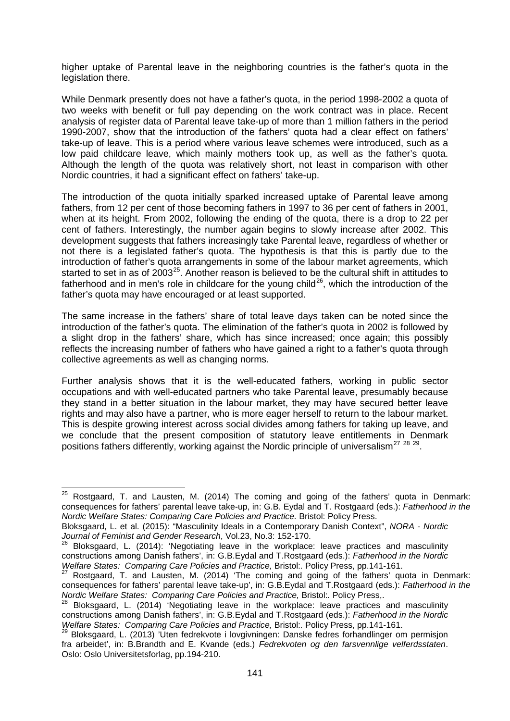higher uptake of Parental leave in the neighboring countries is the father's quota in the legislation there.

While Denmark presently does not have a father's quota, in the period 1998-2002 a quota of two weeks with benefit or full pay depending on the work contract was in place. Recent analysis of register data of Parental leave take-up of more than 1 million fathers in the period 1990-2007, show that the introduction of the fathers' quota had a clear effect on fathers' take-up of leave. This is a period where various leave schemes were introduced, such as a low paid childcare leave, which mainly mothers took up, as well as the father's quota. Although the length of the quota was relatively short, not least in comparison with other Nordic countries, it had a significant effect on fathers' take-up.

The introduction of the quota initially sparked increased uptake of Parental leave among fathers, from 12 per cent of those becoming fathers in 1997 to 36 per cent of fathers in 2001, when at its height. From 2002, following the ending of the quota, there is a drop to 22 per cent of fathers. Interestingly, the number again begins to slowly increase after 2002. This development suggests that fathers increasingly take Parental leave, regardless of whether or not there is a legislated father's quota. The hypothesis is that this is partly due to the introduction of father's quota arrangements in some of the labour market agreements, which started to set in as of 2003<sup>[25](#page-8-0)</sup>. Another reason is believed to be the cultural shift in attitudes to fatherhood and in men's role in childcare for the young child<sup>[26](#page-8-1)</sup>, which the introduction of the father's quota may have encouraged or at least supported.

The same increase in the fathers' share of total leave days taken can be noted since the introduction of the father's quota. The elimination of the father's quota in 2002 is followed by a slight drop in the fathers' share, which has since increased; once again; this possibly reflects the increasing number of fathers who have gained a right to a father's quota through collective agreements as well as changing norms.

Further analysis shows that it is the well-educated fathers, working in public sector occupations and with well-educated partners who take Parental leave, presumably because they stand in a better situation in the labour market, they may have secured better leave rights and may also have a partner, who is more eager herself to return to the labour market. This is despite growing interest across social divides among fathers for taking up leave, and we conclude that the present composition of statutory leave entitlements in Denmark positions fathers differently, working against the Nordic principle of universalism<sup>[27](#page-8-2)</sup>  $28\frac{29}{2}$  $28\frac{29}{2}$ .

<span id="page-8-0"></span> $25$  Rostgaard, T. and Lausten, M. (2014) The coming and going of the fathers' quota in Denmark: consequences for fathers' parental leave take-up, in: G.B. Eydal and T. Rostgaard (eds.): *Fatherhood in the Nordic Welfare States: Comparing Care Policies and Practice.* Bristol: Policy Press.

Bloksgaard, L. et al. (2015): "Masculinity Ideals in a Contemporary Danish Context", *NORA - Nordic Journal of Feminist and Gender Research*, Vol.23, No.3: 152-170.

<span id="page-8-1"></span><sup>26</sup> Bloksgaard, L. (2014): 'Negotiating leave in the workplace: leave practices and masculinity constructions among Danish fathers', in: G.B.Eydal and T.Rostgaard (eds.): *Fatherhood in the Nordic Welfare States: Comparing Care Policies and Practice, Bristol:. Policy Press, pp.141-161.<br><sup>27</sup> Rostgaard, T. and Lausten, M. (2014) 'The coming and going of the fathers' quota in Denmark:* 

<span id="page-8-2"></span>consequences for fathers' parental leave take-up', in: G.B.Eydal and T.Rostgaard (eds.): *Fatherhood in the* 

<span id="page-8-3"></span><sup>&</sup>lt;sup>28</sup> Bloksgaard, L. (2014) 'Negotiating leave in the workplace: leave practices and masculinity constructions among Danish fathers', in: G.B.Eydal and T.Rostgaard (eds.): *Fatherhood in the Nordic* 

<span id="page-8-4"></span>Bloksgaard, L. (2013) 'Uten fedrekvote i lovgivningen: Danske fedres forhandlinger om permisjon fra arbeidet', in: B.Brandth and E. Kvande (eds.) *Fedrekvoten og den farsvennlige velferdsstaten*. Oslo: Oslo Universitetsforlag, pp.194-210.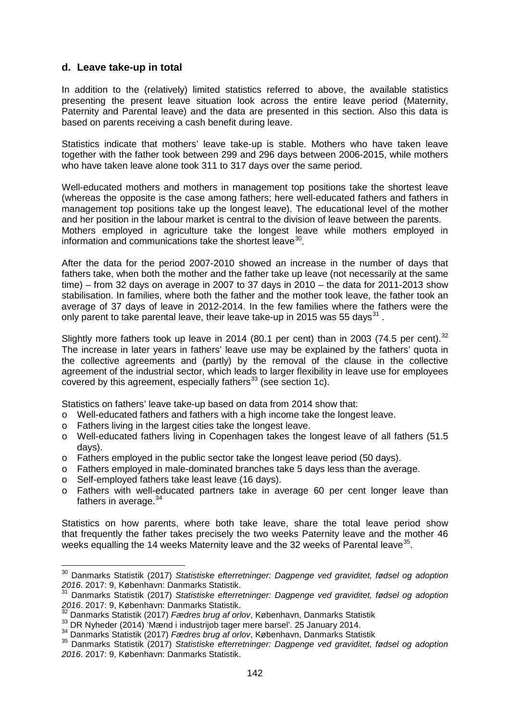#### **d. Leave take-up in total**

In addition to the (relatively) limited statistics referred to above, the available statistics presenting the present leave situation look across the entire leave period (Maternity, Paternity and Parental leave) and the data are presented in this section. Also this data is based on parents receiving a cash benefit during leave.

Statistics indicate that mothers' leave take-up is stable. Mothers who have taken leave together with the father took between 299 and 296 days between 2006-2015, while mothers who have taken leave alone took 311 to 317 days over the same period.

Well-educated mothers and mothers in management top positions take the shortest leave (whereas the opposite is the case among fathers; here well-educated fathers and fathers in management top positions take up the longest leave). The educational level of the mother and her position in the labour market is central to the division of leave between the parents. Mothers employed in agriculture take the longest leave while mothers employed in information and communications take the shortest leave  $30$ .

After the data for the period 2007-2010 showed an increase in the number of days that fathers take, when both the mother and the father take up leave (not necessarily at the same time) – from 32 days on average in 2007 to 37 days in 2010 – the data for 2011-2013 show stabilisation. In families, where both the father and the mother took leave, the father took an average of 37 days of leave in 2012-2014. In the few families where the fathers were the only parent to take parental leave, their leave take-up in 2015 was 55 days<sup>[31](#page-9-1)</sup>.

Slightly more fathers took up leave in 2014 (80.1 per cent) than in 2003 (74.5 per cent).<sup>[32](#page-9-2)</sup> The increase in later years in fathers' leave use may be explained by the fathers' quota in the collective agreements and (partly) by the removal of the clause in the collective agreement of the industrial sector, which leads to larger flexibility in leave use for employees covered by this agreement, especially fathers<sup>[33](#page-9-3)</sup> (see section 1c).

Statistics on fathers' leave take-up based on data from 2014 show that:

- o Well-educated fathers and fathers with a high income take the longest leave.
- o Fathers living in the largest cities take the longest leave.
- o Well-educated fathers living in Copenhagen takes the longest leave of all fathers (51.5 days).
- o Fathers employed in the public sector take the longest leave period (50 days).
- o Fathers employed in male-dominated branches take 5 days less than the average.
- o Self-employed fathers take least leave (16 days).
- o Fathers with well-educated partners take in average 60 per cent longer leave than fathers in average. $34$

Statistics on how parents, where both take leave, share the total leave period show that frequently the father takes precisely the two weeks Paternity leave and the mother 46 weeks equalling the 14 weeks Maternity leave and the 32 weeks of Parental leave  $35$ .

<span id="page-9-0"></span><sup>30</sup> Danmarks Statistik (2017) *Statistiske efterretninger: Dagpenge ved graviditet, fødsel og adoption 2016*. 2017: 9, København: Danmarks Statistik.

<span id="page-9-1"></span><sup>31</sup> Danmarks Statistik (2017) *Statistiske efterretninger: Dagpenge ved graviditet, fødsel og adoption 2016*. 2017: 9, København: Danmarks Statistik.

<span id="page-9-2"></span><sup>&</sup>lt;sup>32</sup> Danmarks Statistik (2017) *Fædres brug af orlov*, København, Danmarks Statistik<br><sup>33</sup> DR Nyheder (2014) 'Mænd i industrijob tager mere barsel'. 25 January 2014.

<span id="page-9-4"></span><span id="page-9-3"></span><sup>34</sup> Danmarks Statistik (2017) *Fædres brug af orlov*, København, Danmarks Statistik

<span id="page-9-5"></span><sup>35</sup> Danmarks Statistik (2017) *Statistiske efterretninger: Dagpenge ved graviditet, fødsel og adoption 2016*. 2017: 9, København: Danmarks Statistik.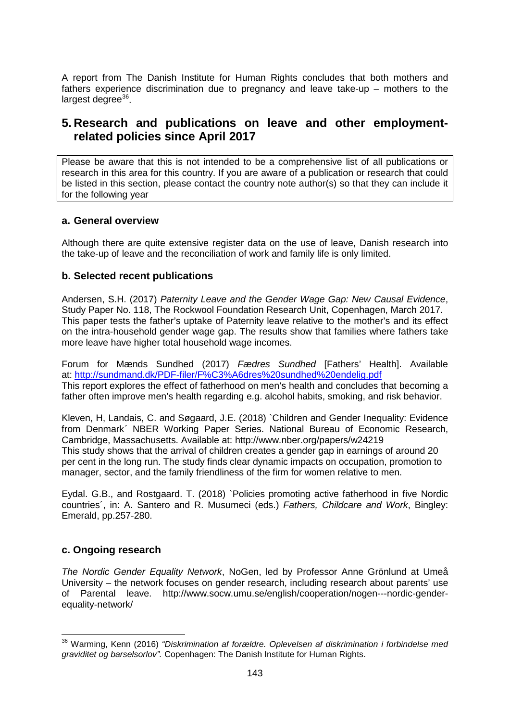A report from The Danish Institute for Human Rights concludes that both mothers and fathers experience discrimination due to pregnancy and leave take-up – mothers to the  $larcest decrease<sup>36</sup>$  $larcest decrease<sup>36</sup>$  $larcest decrease<sup>36</sup>$ .

## **5. Research and publications on leave and other employmentrelated policies since April 2017**

Please be aware that this is not intended to be a comprehensive list of all publications or research in this area for this country. If you are aware of a publication or research that could be listed in this section, please contact the country note author(s) so that they can include it for the following year

## **a. General overview**

Although there are quite extensive register data on the use of leave, Danish research into the take-up of leave and the reconciliation of work and family life is only limited.

## **b. Selected recent publications**

Andersen, S.H. (2017) *Paternity Leave and the Gender Wage Gap: New Causal Evidence*, Study Paper No. 118, The Rockwool Foundation Research Unit, Copenhagen, March 2017. This paper tests the father's uptake of Paternity leave relative to the mother's and its effect on the intra-household gender wage gap. The results show that families where fathers take more leave have higher total household wage incomes.

Forum for Mænds Sundhed (2017) *Fædres Sundhed* [Fathers' Health]. Available at: <http://sundmand.dk/PDF-filer/F%C3%A6dres%20sundhed%20endelig.pdf> This report explores the effect of fatherhood on men's health and concludes that becoming a father often improve men's health regarding e.g. alcohol habits, smoking, and risk behavior.

Kleven, H, Landais, C. and Søgaard, J.E. (2018) `Children and Gender Inequality: Evidence from Denmark*´* NBER Working Paper Series. National Bureau of Economic Research, Cambridge, Massachusetts. Available at: http://www.nber.org/papers/w24219 This study shows that the arrival of children creates a gender gap in earnings of around 20 per cent in the long run. The study finds clear dynamic impacts on occupation, promotion to manager, sector, and the family friendliness of the firm for women relative to men.

Eydal. G.B., and Rostgaard. T. (2018) `Policies promoting active fatherhood in five Nordic countries´, in: A. Santero and R. Musumeci (eds.) *Fathers, Childcare and Work*, Bingley: Emerald, pp.257-280.

#### **c. Ongoing research**

*The Nordic Gender Equality Network*, NoGen, led by Professor Anne Grönlund at Umeå University – the network focuses on gender research, including research about parents' use of Parental leave. http://www.socw.umu.se/english/cooperation/nogen---nordic-genderequality-network/

<span id="page-10-0"></span><sup>36</sup> Warming, Kenn (2016) *"Diskrimination af forældre. Oplevelsen af diskrimination i forbindelse med graviditet og barselsorlov".* Copenhagen: The Danish Institute for Human Rights.